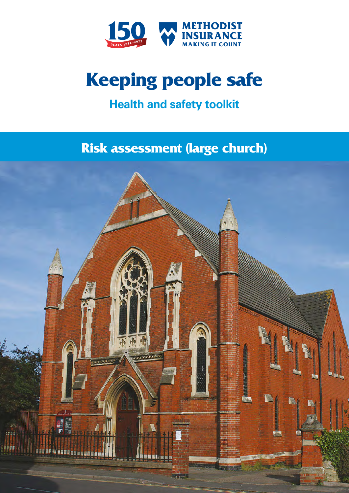

# **Keeping people safe**

# **Health and safety toolkit**

# **Risk assessment (large church)**

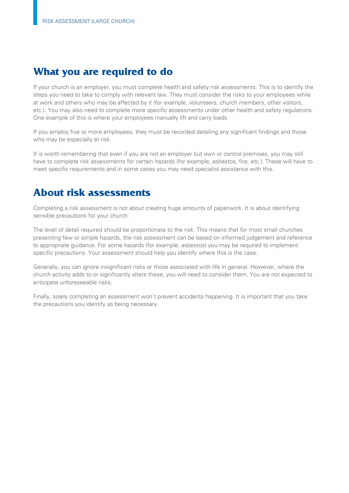# **What you are required to do**

If your church is an employer, you must complete health and safety risk assessments. This is to identify the steps you need to take to comply with relevant law. They must consider the risks to your employees while at work and others who may be affected by it (for example, volunteers, church members, other visitors, etc.). You may also need to complete more specific assessments under other health and safety regulations. One example of this is where your employees manually lift and carry loads.

If you employ five or more employees, they must be recorded detailing any significant findings and those who may be especially at risk.

It is worth remembering that even if you are not an employer but own or control premises, you may still have to complete risk assessments for certain hazards (for example, asbestos, fire, etc.). These will have to meet specific requirements and in some cases you may need specialist assistance with this.

# **About risk assessments**

Completing a risk assessment is not about creating huge amounts of paperwork. It is about identifying sensible precautions for your church.

The level of detail required should be proportionate to the risk. This means that for most small churches presenting few or simple hazards, the risk assessment can be based on informed judgement and reference to appropriate guidance. For some hazards (for example, asbestos) you may be required to implement specific precautions. Your assessment should help you identify where this is the case.

Generally, you can ignore insignificant risks or those associated with life in general. However, where the church activity adds to or significantly alters these, you will need to consider them. You are not expected to anticipate unforeseeable risks.

Finally, solely completing an assessment won't prevent accidents happening. It is important that you take the precautions you identify as being necessary.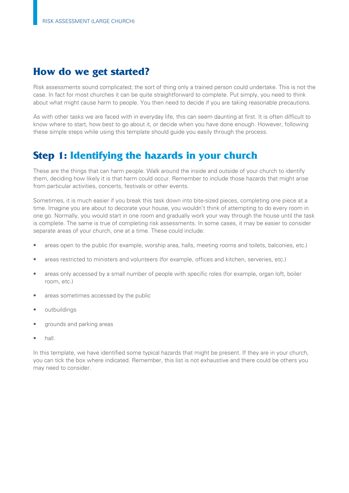# **How do we get started?**

Risk assessments sound complicated; the sort of thing only a trained person could undertake. This is not the case. In fact for most churches it can be quite straightforward to complete. Put simply, you need to think about what might cause harm to people. You then need to decide if you are taking reasonable precautions.

As with other tasks we are faced with in everyday life, this can seem daunting at first. It is often difficult to know where to start, how best to go about it, or decide when you have done enough. However, following these simple steps while using this template should guide you easily through the process.

# **Step 1: Identifying the hazards in your church**

These are the things that can harm people. Walk around the inside and outside of your church to identify them, deciding how likely it is that harm could occur. Remember to include those hazards that might arise from particular activities, concerts, festivals or other events.

Sometimes, it is much easier if you break this task down into bite-sized pieces, completing one piece at a time. Imagine you are about to decorate your house, you wouldn't think of attempting to do every room in one go. Normally, you would start in one room and gradually work your way through the house until the task is complete. The same is true of completing risk assessments. In some cases, it may be easier to consider separate areas of your church, one at a time. These could include:

- areas open to the public (for example, worship area, halls, meeting rooms and toilets, balconies, etc.)
- areas restricted to ministers and volunteers (for example, offices and kitchen, serveries, etc.)
- areas only accessed by a small number of people with specific roles (for example, organ loft, boiler room, etc.)
- areas sometimes accessed by the public
- outbuildings
- grounds and parking areas
- hall.

In this template, we have identified some typical hazards that might be present. If they are in your church, you can tick the box where indicated. Remember, this list is not exhaustive and there could be others you may need to consider.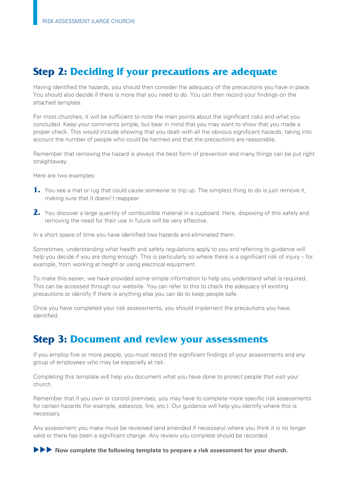# **Step 2: Deciding if your precautions are adequate**

Having identified the hazards, you should then consider the adequacy of the precautions you have in place. You should also decide if there is more that you need to do. You can then record your findings on the attached template.

For most churches, it will be sufficient to note the main points about the significant risks and what you concluded. Keep your comments simple, but bear in mind that you may want to show that you made a proper check. This would include showing that you dealt with all the obvious significant hazards, taking into account the number of people who could be harmed and that the precautions are reasonable.

Remember that removing the hazard is always the best form of prevention and many things can be put right straightaway.

Here are two examples:

- **1.** You see a mat or rug that could cause someone to trip up. The simplest thing to do is just remove it, making sure that it doesn't reappear.
- 2. You discover a large quantity of combustible material in a cupboard. Here, disposing of this safely and removing the need for their use in future will be very effective.

In a short space of time you have identified two hazards and eliminated them.

Sometimes, understanding what health and safety regulations apply to you and referring to guidance will help you decide if you are doing enough. This is particularly so where there is a significant risk of injury – for example, from working at height or using electrical equipment.

To make this easier, we have provided some simple information to help you understand what is required. This can be accessed through our website. You can refer to this to check the adequacy of existing precautions or identify if there is anything else you can do to keep people safe.

Once you have completed your risk assessments, you should implement the precautions you have identified.

# **Step 3: Document and review your assessments**

If you employ five or more people, you must record the significant findings of your assessments and any group of employees who may be especially at risk.

Completing this template will help you document what you have done to protect people that visit your church.

Remember that if you own or control premises, you may have to complete more specific risk assessments for certain hazards (for example, asbestos, fire, etc.). Our guidance will help you identify where this is necessary.

Any assessment you make must be reviewed (and amended if necessary) where you think it is no longer valid or there has been a significant change. Any review you complete should be recorded.

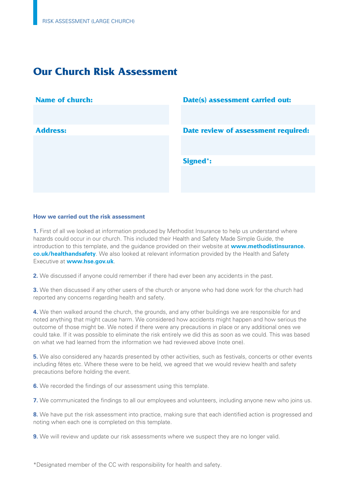# **Our Church Risk Assessment**

| <b>Name of church:</b> | <b>Date(s) assessment carried out:</b> |
|------------------------|----------------------------------------|
|                        |                                        |
|                        |                                        |
| <b>Address:</b>        | Date review of assessment required:    |
|                        |                                        |
|                        |                                        |
|                        | <b>Signed*:</b>                        |
|                        |                                        |
|                        |                                        |
|                        |                                        |

#### **How we carried out the risk assessment**

**1.** First of all we looked at information produced by Methodist Insurance to help us understand where hazards could occur in our church. This included their Health and Safety Made Simple Guide, the introduction to this template, and the guidance provided on their website at **[www.methodistinsurance.](www.methodistinsurance.co.uk/healthandsafety)  [co.uk/healthandsafety](www.methodistinsurance.co.uk/healthandsafety)**. We also looked at relevant information provided by the Health and Safety Executive at **<www.hse.gov.uk>**.

**2.** We discussed if anyone could remember if there had ever been any accidents in the past.

**3.** We then discussed if any other users of the church or anyone who had done work for the church had reported any concerns regarding health and safety.

**4.** We then walked around the church, the grounds, and any other buildings we are responsible for and noted anything that might cause harm. We considered how accidents might happen and how serious the outcome of those might be. We noted if there were any precautions in place or any additional ones we could take. If it was possible to eliminate the risk entirely we did this as soon as we could. This was based on what we had learned from the information we had reviewed above (note one).

**5.** We also considered any hazards presented by other activities, such as festivals, concerts or other events including fêtes etc. Where these were to be held, we agreed that we would review health and safety precautions before holding the event.

**6.** We recorded the findings of our assessment using this template.

**7.** We communicated the findings to all our employees and volunteers, including anyone new who joins us.

**8.** We have put the risk assessment into practice, making sure that each identified action is progressed and noting when each one is completed on this template.

**9.** We will review and update our risk assessments where we suspect they are no longer valid.

\*Designated member of the CC with responsibility for health and safety.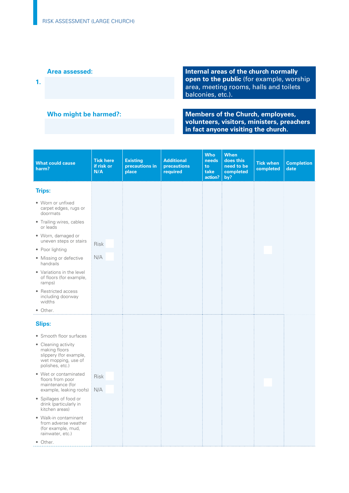**Area assessed: Internal areas of the church normally open to the public** (for example, worship **1.**  area, meeting rooms, halls and toilets balconies, etc.).

**Who might be harmed?:** Members of the Church, employees, **volunteers, visitors, ministers, preachers in fact anyone visiting the church.** 

| <b>What could cause</b><br>harm?                                                                         | <b>Tick here</b><br>if risk or<br>N/A | <b>Existing</b><br>precautions in<br>place | <b>Additional</b><br>precautions<br>required | <b>Who</b><br>needs<br>to<br>take<br>action? | <b>When</b><br>does this<br>need to be<br>completed<br>by? | <b>Tick when</b><br>completed | <b>Completion</b><br>date |
|----------------------------------------------------------------------------------------------------------|---------------------------------------|--------------------------------------------|----------------------------------------------|----------------------------------------------|------------------------------------------------------------|-------------------------------|---------------------------|
| <b>Trips:</b>                                                                                            |                                       |                                            |                                              |                                              |                                                            |                               |                           |
| • Worn or unfixed<br>carpet edges, rugs or<br>doormats                                                   |                                       |                                            |                                              |                                              |                                                            |                               |                           |
| • Trailing wires, cables<br>or leads                                                                     |                                       |                                            |                                              |                                              |                                                            |                               |                           |
| • Worn, damaged or<br>uneven steps or stairs                                                             | <b>Risk</b>                           |                                            |                                              |                                              |                                                            |                               |                           |
| • Poor lighting                                                                                          |                                       |                                            |                                              |                                              |                                                            |                               |                           |
| • Missing or defective<br>handrails                                                                      | N/A                                   |                                            |                                              |                                              |                                                            |                               |                           |
| • Variations in the level<br>of floors (for example,<br>ramps)                                           |                                       |                                            |                                              |                                              |                                                            |                               |                           |
| • Restricted access<br>including doorway<br>widths                                                       |                                       |                                            |                                              |                                              |                                                            |                               |                           |
| • Other.                                                                                                 |                                       |                                            |                                              |                                              |                                                            |                               |                           |
| <b>Slips:</b>                                                                                            |                                       |                                            |                                              |                                              |                                                            |                               |                           |
| • Smooth floor surfaces                                                                                  |                                       |                                            |                                              |                                              |                                                            |                               |                           |
| • Cleaning activity<br>making floors<br>slippery (for example,<br>wet mopping, use of<br>polishes, etc.) |                                       |                                            |                                              |                                              |                                                            |                               |                           |
| • Wet or contaminated<br>floors from poor                                                                | <b>Risk</b>                           |                                            |                                              |                                              |                                                            |                               |                           |
| maintenance (for<br>example, leaking roofs)                                                              | N/A                                   |                                            |                                              |                                              |                                                            |                               |                           |
| • Spillages of food or<br>drink (particularly in<br>kitchen areas)                                       |                                       |                                            |                                              |                                              |                                                            |                               |                           |
| • Walk-in contaminant<br>from adverse weather<br>(for example, mud,<br>rainwater, etc.)                  |                                       |                                            |                                              |                                              |                                                            |                               |                           |
| • Other.                                                                                                 |                                       |                                            |                                              |                                              |                                                            |                               |                           |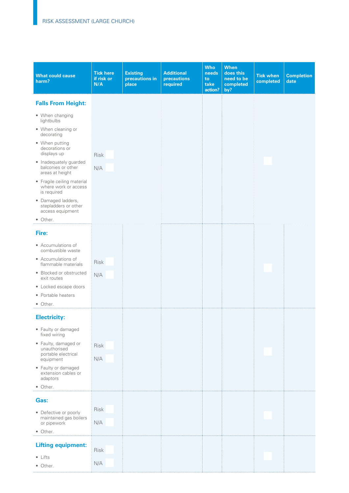| <b>What could cause</b><br>harm?                                  | <b>Tick here</b><br>if risk or<br>N/A | <b>Existing</b><br>precautions in<br>place | <b>Additional</b><br>precautions<br>required | <b>Who</b><br>needs<br>to<br>take<br>action? | <b>When</b><br>does this<br>need to be<br>completed<br>by? | <b>Tick when</b><br>completed | <b>Completion</b><br>date |
|-------------------------------------------------------------------|---------------------------------------|--------------------------------------------|----------------------------------------------|----------------------------------------------|------------------------------------------------------------|-------------------------------|---------------------------|
| <b>Falls From Height:</b>                                         |                                       |                                            |                                              |                                              |                                                            |                               |                           |
| • When changing<br>lightbulbs                                     |                                       |                                            |                                              |                                              |                                                            |                               |                           |
| • When cleaning or<br>decorating                                  |                                       |                                            |                                              |                                              |                                                            |                               |                           |
| • When putting<br>decorations or<br>displays up                   | <b>Risk</b>                           |                                            |                                              |                                              |                                                            |                               |                           |
| • Inadequately guarded<br>balconies or other<br>areas at height   | N/A                                   |                                            |                                              |                                              |                                                            |                               |                           |
| • Fragile ceiling material<br>where work or access<br>is required |                                       |                                            |                                              |                                              |                                                            |                               |                           |
| · Damaged ladders,<br>stepladders or other<br>access equipment    |                                       |                                            |                                              |                                              |                                                            |                               |                           |
| • Other.                                                          |                                       |                                            |                                              |                                              |                                                            |                               |                           |
| Fire:                                                             |                                       |                                            |                                              |                                              |                                                            |                               |                           |
| • Accumulations of<br>combustible waste                           |                                       |                                            |                                              |                                              |                                                            |                               |                           |
| • Accumulations of<br>flammable materials                         | Risk                                  |                                            |                                              |                                              |                                                            |                               |                           |
| • Blocked or obstructed<br>exit routes                            | N/A                                   |                                            |                                              |                                              |                                                            |                               |                           |
| • Locked escape doors                                             |                                       |                                            |                                              |                                              |                                                            |                               |                           |
| • Portable heaters<br>• Other.                                    |                                       |                                            |                                              |                                              |                                                            |                               |                           |
| <b>Electricity:</b>                                               |                                       |                                            |                                              |                                              |                                                            |                               |                           |
| • Faulty or damaged<br>fixed wiring                               |                                       |                                            |                                              |                                              |                                                            |                               |                           |
| · Faulty, damaged or<br>unauthorised                              | Risk                                  |                                            |                                              |                                              |                                                            |                               |                           |
| portable electrical<br>equipment                                  | N/A                                   |                                            |                                              |                                              |                                                            |                               |                           |
| • Faulty or damaged<br>extension cables or<br>adaptors            |                                       |                                            |                                              |                                              |                                                            |                               |                           |
| • Other.                                                          |                                       |                                            |                                              |                                              |                                                            |                               |                           |
| Gas:                                                              |                                       |                                            |                                              |                                              |                                                            |                               |                           |
| • Defective or poorly                                             | Risk                                  |                                            |                                              |                                              |                                                            |                               |                           |
| maintained gas boilers<br>or pipework<br>• Other.                 | N/A                                   |                                            |                                              |                                              |                                                            |                               |                           |
|                                                                   |                                       |                                            |                                              |                                              |                                                            |                               |                           |
| <b>Lifting equipment:</b>                                         | Risk                                  |                                            |                                              |                                              |                                                            |                               |                           |
| $\bullet$ Lifts<br>• Other.                                       | N/A                                   |                                            |                                              |                                              |                                                            |                               |                           |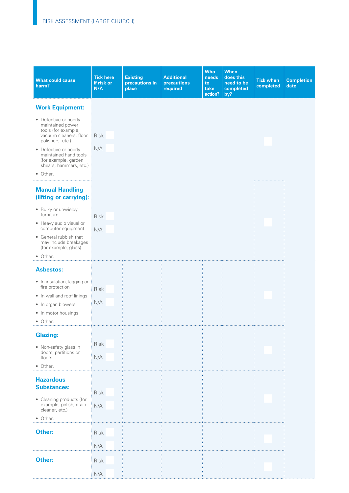| <b>What could cause</b><br>harm?                                                                                                                                 | <b>Tick here</b><br>if risk or<br>N/A | <b>Existing</b><br>precautions in<br>place | <b>Additional</b><br>precautions<br>required | <b>Who</b><br>needs<br>to<br>take<br>action? | <b>When</b><br>does this<br>need to be<br>completed<br>by? | <b>Tick when</b><br>completed | <b>Completion</b><br>date |
|------------------------------------------------------------------------------------------------------------------------------------------------------------------|---------------------------------------|--------------------------------------------|----------------------------------------------|----------------------------------------------|------------------------------------------------------------|-------------------------------|---------------------------|
| <b>Work Equipment:</b>                                                                                                                                           |                                       |                                            |                                              |                                              |                                                            |                               |                           |
| • Defective or poorly<br>maintained power<br>tools (for example,<br>vacuum cleaners, floor<br>polishers, etc.)<br>• Defective or poorly<br>maintained hand tools | Risk<br>N/A                           |                                            |                                              |                                              |                                                            |                               |                           |
| (for example, garden<br>shears, hammers, etc.)<br>• Other.                                                                                                       |                                       |                                            |                                              |                                              |                                                            |                               |                           |
| <b>Manual Handling</b><br>(lifting or carrying):                                                                                                                 |                                       |                                            |                                              |                                              |                                                            |                               |                           |
| • Bulky or unwieldy<br>furniture                                                                                                                                 | Risk                                  |                                            |                                              |                                              |                                                            |                               |                           |
| • Heavy audio visual or<br>computer equipment<br>• General rubbish that<br>may include breakages<br>(for example, glass)                                         | N/A                                   |                                            |                                              |                                              |                                                            |                               |                           |
| • Other.                                                                                                                                                         |                                       |                                            |                                              |                                              |                                                            |                               |                           |
| <b>Asbestos:</b>                                                                                                                                                 |                                       |                                            |                                              |                                              |                                                            |                               |                           |
| • In insulation, lagging or<br>fire protection                                                                                                                   | Risk                                  |                                            |                                              |                                              |                                                            |                               |                           |
| • In wall and roof linings<br>• In organ blowers                                                                                                                 | N/A                                   |                                            |                                              |                                              |                                                            |                               |                           |
| • In motor housings<br>• Other.                                                                                                                                  |                                       |                                            |                                              |                                              |                                                            |                               |                           |
| <b>Glazing:</b>                                                                                                                                                  |                                       |                                            |                                              |                                              |                                                            |                               |                           |
| • Non-safety glass in<br>doors, partitions or<br>floors<br>• Other.                                                                                              | Risk<br>N/A                           |                                            |                                              |                                              |                                                            |                               |                           |
|                                                                                                                                                                  |                                       |                                            |                                              |                                              |                                                            |                               |                           |
| <b>Hazardous</b><br><b>Substances:</b>                                                                                                                           | Risk                                  |                                            |                                              |                                              |                                                            |                               |                           |
| • Cleaning products (for<br>example, polish, drain<br>cleaner, etc.)                                                                                             | N/A                                   |                                            |                                              |                                              |                                                            |                               |                           |
| • Other.                                                                                                                                                         |                                       |                                            |                                              |                                              |                                                            |                               |                           |
| Other:                                                                                                                                                           | Risk<br>N/A                           |                                            |                                              |                                              |                                                            |                               |                           |
|                                                                                                                                                                  |                                       |                                            |                                              |                                              |                                                            |                               |                           |
| Other:                                                                                                                                                           | Risk<br>N/A                           |                                            |                                              |                                              |                                                            |                               |                           |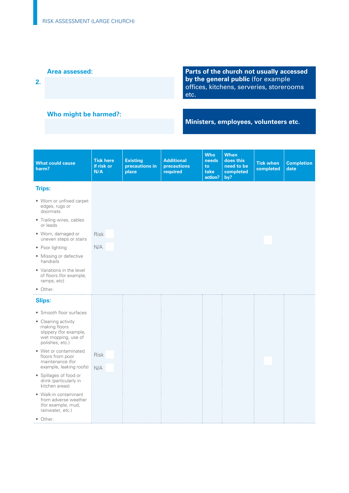**2.** 

**Parts of the church not usually accessed by the general public** (for example offices, kitchens, serveries, storerooms etc.

## **Who might be harmed?:**

**Ministers, employees, volunteers etc.** 

| <b>What could cause</b><br>harm?                                                                         | <b>Tick here</b><br>if risk or<br>N/A | <b>Existing</b><br>precautions in<br>place | <b>Additional</b><br>precautions<br>required | <b>Who</b><br>needs<br>to<br>take<br>action? | <b>When</b><br>does this<br>need to be<br>completed<br>by? | <b>Tick when</b><br>completed | <b>Completion</b><br>date |
|----------------------------------------------------------------------------------------------------------|---------------------------------------|--------------------------------------------|----------------------------------------------|----------------------------------------------|------------------------------------------------------------|-------------------------------|---------------------------|
| <b>Trips:</b>                                                                                            |                                       |                                            |                                              |                                              |                                                            |                               |                           |
| • Worn or unfixed carpet<br>edges, rugs or<br>doormats                                                   |                                       |                                            |                                              |                                              |                                                            |                               |                           |
| • Trailing wires, cables<br>or leads                                                                     |                                       |                                            |                                              |                                              |                                                            |                               |                           |
| · Worn, damaged or<br>uneven steps or stairs                                                             | <b>Risk</b>                           |                                            |                                              |                                              |                                                            |                               |                           |
| • Poor lighting                                                                                          | N/A                                   |                                            |                                              |                                              |                                                            |                               |                           |
| • Missing or defective<br>handrails                                                                      |                                       |                                            |                                              |                                              |                                                            |                               |                           |
| • Variations in the level<br>of floors (for example,<br>ramps, etc)                                      |                                       |                                            |                                              |                                              |                                                            |                               |                           |
| • Other.                                                                                                 |                                       |                                            |                                              |                                              |                                                            |                               |                           |
| <b>Slips:</b>                                                                                            |                                       |                                            |                                              |                                              |                                                            |                               |                           |
| • Smooth floor surfaces                                                                                  |                                       |                                            |                                              |                                              |                                                            |                               |                           |
| • Cleaning activity<br>making floors<br>slippery (for example,<br>wet mopping, use of<br>polishes, etc.) |                                       |                                            |                                              |                                              |                                                            |                               |                           |
| • Wet or contaminated<br>floors from poor                                                                | Risk                                  |                                            |                                              |                                              |                                                            |                               |                           |
| maintenance (for<br>example, leaking roofs)                                                              | N/A                                   |                                            |                                              |                                              |                                                            |                               |                           |
| • Spillages of food or<br>drink (particularly in<br>kitchen areas)                                       |                                       |                                            |                                              |                                              |                                                            |                               |                           |
| • Walk-in contaminant<br>from adverse weather<br>(for example, mud,<br>rainwater, etc.)                  |                                       |                                            |                                              |                                              |                                                            |                               |                           |
| • Other.                                                                                                 |                                       |                                            |                                              |                                              |                                                            |                               |                           |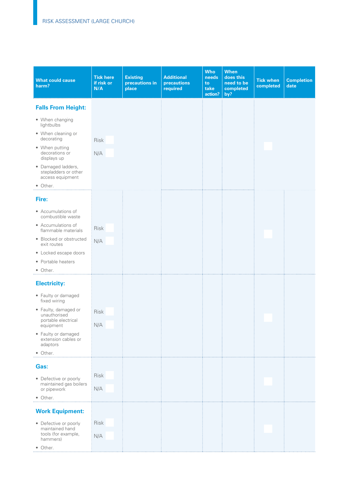| <b>What could cause</b><br>harm?                               | <b>Tick here</b><br>if risk or<br>N/A | <b>Existing</b><br>precautions in<br>place | <b>Additional</b><br>precautions<br>required | <b>Who</b><br>needs<br>to<br>take<br>action? | <b>When</b><br>does this<br>need to be<br>completed<br>by? | <b>Tick when</b><br>completed | <b>Completion</b><br>date |
|----------------------------------------------------------------|---------------------------------------|--------------------------------------------|----------------------------------------------|----------------------------------------------|------------------------------------------------------------|-------------------------------|---------------------------|
| <b>Falls From Height:</b>                                      |                                       |                                            |                                              |                                              |                                                            |                               |                           |
| • When changing<br>lightbulbs                                  |                                       |                                            |                                              |                                              |                                                            |                               |                           |
| • When cleaning or<br>decorating                               | Risk                                  |                                            |                                              |                                              |                                                            |                               |                           |
| • When putting<br>decorations or<br>displays up                | N/A                                   |                                            |                                              |                                              |                                                            |                               |                           |
| · Damaged ladders,<br>stepladders or other<br>access equipment |                                       |                                            |                                              |                                              |                                                            |                               |                           |
| • Other.                                                       |                                       |                                            |                                              |                                              |                                                            |                               |                           |
| Fire:                                                          |                                       |                                            |                                              |                                              |                                                            |                               |                           |
| • Accumulations of<br>combustible waste                        |                                       |                                            |                                              |                                              |                                                            |                               |                           |
| • Accumulations of<br>flammable materials                      | Risk                                  |                                            |                                              |                                              |                                                            |                               |                           |
| • Blocked or obstructed<br>exit routes                         | N/A                                   |                                            |                                              |                                              |                                                            |                               |                           |
| • Locked escape doors<br>• Portable heaters                    |                                       |                                            |                                              |                                              |                                                            |                               |                           |
| • Other.                                                       |                                       |                                            |                                              |                                              |                                                            |                               |                           |
| <b>Electricity:</b>                                            |                                       |                                            |                                              |                                              |                                                            |                               |                           |
| • Faulty or damaged<br>fixed wiring                            |                                       |                                            |                                              |                                              |                                                            |                               |                           |
| • Faulty, damaged or<br>unauthorised<br>portable electrical    | Risk                                  |                                            |                                              |                                              |                                                            |                               |                           |
| equipment                                                      | N/A                                   |                                            |                                              |                                              |                                                            |                               |                           |
| • Faulty or damaged<br>extension cables or<br>adaptors         |                                       |                                            |                                              |                                              |                                                            |                               |                           |
| • Other.                                                       |                                       |                                            |                                              |                                              |                                                            |                               |                           |
| Gas:                                                           |                                       |                                            |                                              |                                              |                                                            |                               |                           |
| • Defective or poorly<br>maintained gas boilers                | <b>Risk</b>                           |                                            |                                              |                                              |                                                            |                               |                           |
| or pipework<br>• Other.                                        | N/A                                   |                                            |                                              |                                              |                                                            |                               |                           |
| <b>Work Equipment:</b>                                         |                                       |                                            |                                              |                                              |                                                            |                               |                           |
| • Defective or poorly                                          | Risk                                  |                                            |                                              |                                              |                                                            |                               |                           |
| maintained hand<br>tools (for example,<br>hammers)             | N/A                                   |                                            |                                              |                                              |                                                            |                               |                           |
| • Other.                                                       |                                       |                                            |                                              |                                              |                                                            |                               |                           |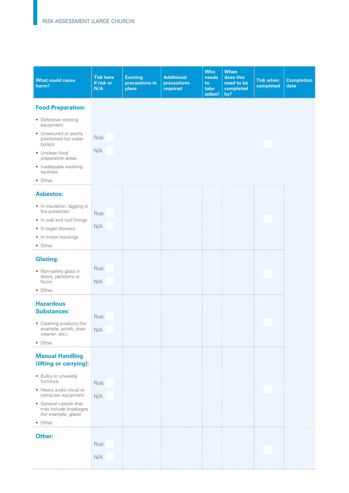| <b>What could cause</b><br>harm?                                                                                                                                                      | <b>Tick here</b><br>if risk or<br>N/A | <b>Existing</b><br>precautions in<br>place | <b>Additional</b><br>precautions<br>required | <b>Who</b><br>needs<br>to<br>take<br>action? | <b>When</b><br>does this<br>need to be<br>completed<br>by? | <b>Tick when</b><br>completed | <b>Completion</b><br>date |
|---------------------------------------------------------------------------------------------------------------------------------------------------------------------------------------|---------------------------------------|--------------------------------------------|----------------------------------------------|----------------------------------------------|------------------------------------------------------------|-------------------------------|---------------------------|
| <b>Food Preparation:</b>                                                                                                                                                              |                                       |                                            |                                              |                                              |                                                            |                               |                           |
| • Defective cooking<br>equipment<br>• Unsecured or poorly<br>positioned hot water<br>boilers<br>• Unclean food<br>preparation areas<br>• Inadequate washing<br>facilities<br>• Other. | Risk<br>N/A                           |                                            |                                              |                                              |                                                            |                               |                           |
| <b>Asbestos:</b>                                                                                                                                                                      |                                       |                                            |                                              |                                              |                                                            |                               |                           |
| • In insulation, lagging or<br>fire protection<br>• In wall and roof linings<br>• In organ blowers<br>• In motor housings<br>• Other.                                                 | Risk<br>N/A                           |                                            |                                              |                                              |                                                            |                               |                           |
| <b>Glazing:</b>                                                                                                                                                                       |                                       |                                            |                                              |                                              |                                                            |                               |                           |
| • Non-safety glass in<br>doors, partitions or<br>floors<br>• Other.                                                                                                                   | Risk<br>N/A                           |                                            |                                              |                                              |                                                            |                               |                           |
| <b>Hazardous</b><br><b>Substances:</b><br>• Cleaning products (for<br>example, polish, drain<br>cleaner, etc.)<br>• Other.                                                            | Risk<br>N/A                           |                                            |                                              |                                              |                                                            |                               |                           |
| <b>Manual Handling</b><br>(lifting or carrying):                                                                                                                                      |                                       |                                            |                                              |                                              |                                                            |                               |                           |
| · Bulky or unwieldy<br>furniture<br>• Heavy audio visual or<br>computer equipment<br>• General rubbish that<br>may include breakages<br>(for example, glass)<br>• Other.              | Risk<br>N/A                           |                                            |                                              |                                              |                                                            |                               |                           |
| Other:                                                                                                                                                                                | Risk<br>N/A                           |                                            |                                              |                                              |                                                            |                               |                           |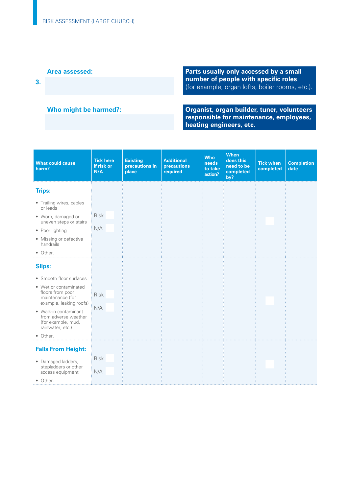**Area assessed:** Parts usually only accessed by a small **Parts usually only accessed by a small number of people with specific roles number of people with specific roles 3.** (for example, organ lofts, boiler rooms, etc.).

**Who might be harmed?: Organist, organ builder, tuner, volunteers responsible for maintenance, employees, heating engineers, etc.** 

| <b>What could cause</b><br>harm?                                                                                   | <b>Tick here</b><br>if risk or<br>N/A | <b>Existing</b><br>precautions in<br>place | <b>Additional</b><br>precautions<br>required | <b>Who</b><br>needs<br>to take<br>action? | <b>When</b><br>does this<br>need to be<br>completed<br>by? | <b>Tick when</b><br>completed | <b>Completion</b><br>date |
|--------------------------------------------------------------------------------------------------------------------|---------------------------------------|--------------------------------------------|----------------------------------------------|-------------------------------------------|------------------------------------------------------------|-------------------------------|---------------------------|
| <b>Trips:</b>                                                                                                      |                                       |                                            |                                              |                                           |                                                            |                               |                           |
| • Trailing wires, cables<br>or leads                                                                               |                                       |                                            |                                              |                                           |                                                            |                               |                           |
| · Worn, damaged or<br>uneven steps or stairs                                                                       | <b>Risk</b>                           |                                            |                                              |                                           |                                                            |                               |                           |
| • Poor lighting                                                                                                    | N/A                                   |                                            |                                              |                                           |                                                            |                               |                           |
| • Missing or defective<br>handrails                                                                                |                                       |                                            |                                              |                                           |                                                            |                               |                           |
| • Other.                                                                                                           |                                       |                                            |                                              |                                           |                                                            |                               |                           |
| <b>Slips:</b>                                                                                                      |                                       |                                            |                                              |                                           |                                                            |                               |                           |
| • Smooth floor surfaces                                                                                            |                                       |                                            |                                              |                                           |                                                            |                               |                           |
| • Wet or contaminated<br>floors from poor<br>maintenance (for                                                      | <b>Risk</b>                           |                                            |                                              |                                           |                                                            |                               |                           |
| example, leaking roofs)<br>• Walk-in contaminant<br>from adverse weather<br>(for example, mud,<br>rainwater, etc.) | N/A                                   |                                            |                                              |                                           |                                                            |                               |                           |
| • Other.                                                                                                           |                                       |                                            |                                              |                                           |                                                            |                               |                           |
| <b>Falls From Height:</b>                                                                                          |                                       |                                            |                                              |                                           |                                                            |                               |                           |
| • Damaged ladders,<br>stepladders or other                                                                         | <b>Risk</b><br>N/A                    |                                            |                                              |                                           |                                                            |                               |                           |
| access equipment<br>• Other.                                                                                       |                                       |                                            |                                              |                                           |                                                            |                               |                           |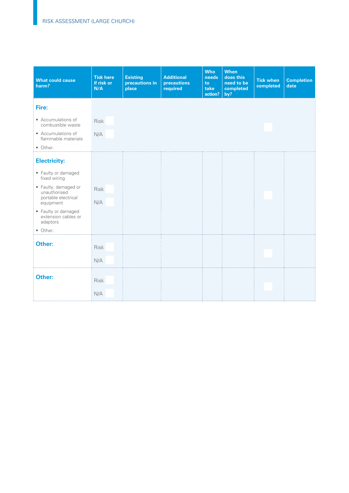| What could cause<br>harm?                                                | <b>Tick here</b><br>if risk or<br>N/A | <b>Existing</b><br>precautions in<br>place | <b>Additional</b><br>precautions<br>required | <b>Who</b><br>needs<br>to<br>take<br>action? | <b>When</b><br>does this<br>need to be<br>completed<br>by? | <b>Tick when</b><br>completed | <b>Completion</b><br>date |
|--------------------------------------------------------------------------|---------------------------------------|--------------------------------------------|----------------------------------------------|----------------------------------------------|------------------------------------------------------------|-------------------------------|---------------------------|
| Fire:                                                                    |                                       |                                            |                                              |                                              |                                                            |                               |                           |
| • Accumulations of<br>combustible waste<br>• Accumulations of            | <b>Risk</b><br>N/A                    |                                            |                                              |                                              |                                                            |                               |                           |
| flammable materials<br>• Other.                                          |                                       |                                            |                                              |                                              |                                                            |                               |                           |
| <b>Electricity:</b>                                                      |                                       |                                            |                                              |                                              |                                                            |                               |                           |
| • Faulty or damaged<br>fixed wiring                                      |                                       |                                            |                                              |                                              |                                                            |                               |                           |
| • Faulty, damaged or<br>unauthorised<br>portable electrical<br>equipment | Risk<br>N/A                           |                                            |                                              |                                              |                                                            |                               |                           |
| • Faulty or damaged<br>extension cables or<br>adaptors                   |                                       |                                            |                                              |                                              |                                                            |                               |                           |
| • Other.                                                                 |                                       |                                            |                                              |                                              |                                                            |                               |                           |
| Other:                                                                   | Risk                                  |                                            |                                              |                                              |                                                            |                               |                           |
|                                                                          | N/A                                   |                                            |                                              |                                              |                                                            |                               |                           |
| Other:                                                                   | Risk                                  |                                            |                                              |                                              |                                                            |                               |                           |
|                                                                          | N/A                                   |                                            |                                              |                                              |                                                            |                               |                           |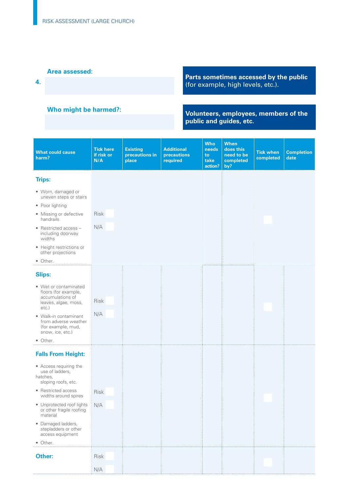**4.** 

### **Who might be harmed?:**

**Parts sometimes accessed by the public**  (for example, high levels, etc.).

#### **Volunteers, employees, members of the public and guides, etc.**

| <b>What could cause</b><br>harm?                                                                      | <b>Tick here</b><br>if risk or<br>N/A | <b>Existing</b><br>precautions in<br>place | <b>Additional</b><br>precautions<br>required | <b>Who</b><br>needs<br>to<br>take<br>action? | <b>When</b><br>does this<br>need to be<br>completed<br>by? | <b>Tick when</b><br>completed | <b>Completion</b><br>date |
|-------------------------------------------------------------------------------------------------------|---------------------------------------|--------------------------------------------|----------------------------------------------|----------------------------------------------|------------------------------------------------------------|-------------------------------|---------------------------|
| <b>Trips:</b>                                                                                         |                                       |                                            |                                              |                                              |                                                            |                               |                           |
| • Worn, damaged or<br>uneven steps or stairs                                                          |                                       |                                            |                                              |                                              |                                                            |                               |                           |
| • Poor lighting                                                                                       |                                       |                                            |                                              |                                              |                                                            |                               |                           |
| • Missing or defective<br>handrails                                                                   | Risk                                  |                                            |                                              |                                              |                                                            |                               |                           |
| • Restricted access -<br>including doorway<br>widths                                                  | N/A                                   |                                            |                                              |                                              |                                                            |                               |                           |
| • Height restrictions or<br>other projections                                                         |                                       |                                            |                                              |                                              |                                                            |                               |                           |
| • Other.                                                                                              |                                       |                                            |                                              |                                              |                                                            |                               |                           |
| <b>Slips:</b>                                                                                         |                                       |                                            |                                              |                                              |                                                            |                               |                           |
| • Wet or contaminated<br>floors (for example,<br>accumulations of<br>leaves, algae, moss,<br>$etc.$ ) | Risk                                  |                                            |                                              |                                              |                                                            |                               |                           |
| • Walk-in contaminant<br>from adverse weather<br>(for example, mud,<br>snow, ice, etc.)               | N/A                                   |                                            |                                              |                                              |                                                            |                               |                           |
| • Other.                                                                                              |                                       |                                            |                                              |                                              |                                                            |                               |                           |
| <b>Falls From Height:</b>                                                                             |                                       |                                            |                                              |                                              |                                                            |                               |                           |
| • Access requiring the<br>use of ladders,<br>hatches,<br>sloping roofs, etc.                          |                                       |                                            |                                              |                                              |                                                            |                               |                           |
| • Restricted access<br>widths around spires                                                           | Risk                                  |                                            |                                              |                                              |                                                            |                               |                           |
| • Unprotected roof lights<br>or other fragile roofing<br>material                                     | N/A                                   |                                            |                                              |                                              |                                                            |                               |                           |
| • Damaged ladders,<br>stepladders or other<br>access equipment                                        |                                       |                                            |                                              |                                              |                                                            |                               |                           |
| • Other.                                                                                              |                                       |                                            |                                              |                                              |                                                            |                               |                           |
| Other:                                                                                                | <b>Risk</b>                           |                                            |                                              |                                              |                                                            |                               |                           |
|                                                                                                       | N/A                                   |                                            |                                              |                                              |                                                            |                               |                           |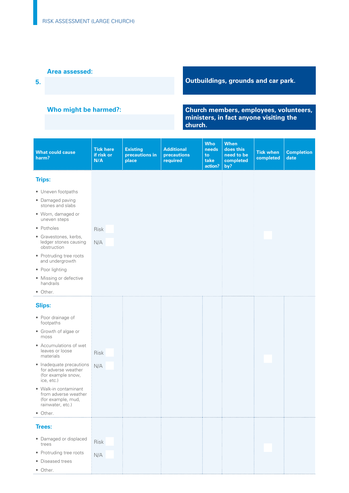**5.** 

### **Who might be harmed?:**

# **Outbuildings, grounds and car park.**

#### **Church members, employees, volunteers, ministers, in fact anyone visiting the church.**

| <b>What could cause</b><br>harm?                                                        | <b>Tick here</b><br>if risk or<br>N/A | <b>Existing</b><br>precautions in<br>place | <b>Additional</b><br>precautions<br>required | <b>Who</b><br>needs<br>to<br>take<br>action? | <b>When</b><br>does this<br>need to be<br>completed<br>by? | <b>Tick when</b><br>completed | <b>Completion</b><br>date |
|-----------------------------------------------------------------------------------------|---------------------------------------|--------------------------------------------|----------------------------------------------|----------------------------------------------|------------------------------------------------------------|-------------------------------|---------------------------|
| <b>Trips:</b>                                                                           |                                       |                                            |                                              |                                              |                                                            |                               |                           |
| • Uneven footpaths                                                                      |                                       |                                            |                                              |                                              |                                                            |                               |                           |
| • Damaged paving<br>stones and slabs                                                    |                                       |                                            |                                              |                                              |                                                            |                               |                           |
| · Worn, damaged or<br>uneven steps                                                      |                                       |                                            |                                              |                                              |                                                            |                               |                           |
| • Potholes                                                                              | Risk                                  |                                            |                                              |                                              |                                                            |                               |                           |
| · Gravestones, kerbs,<br>ledger stones causing<br>obstruction                           | N/A                                   |                                            |                                              |                                              |                                                            |                               |                           |
| • Protruding tree roots<br>and undergrowth                                              |                                       |                                            |                                              |                                              |                                                            |                               |                           |
| • Poor lighting                                                                         |                                       |                                            |                                              |                                              |                                                            |                               |                           |
| • Missing or defective<br>handrails                                                     |                                       |                                            |                                              |                                              |                                                            |                               |                           |
| • Other.                                                                                |                                       |                                            |                                              |                                              |                                                            |                               |                           |
| <b>Slips:</b>                                                                           |                                       |                                            |                                              |                                              |                                                            |                               |                           |
| • Poor drainage of<br>footpaths                                                         |                                       |                                            |                                              |                                              |                                                            |                               |                           |
| • Growth of algae or<br>moss                                                            |                                       |                                            |                                              |                                              |                                                            |                               |                           |
| • Accumulations of wet<br>leaves or loose<br>materials                                  | Risk                                  |                                            |                                              |                                              |                                                            |                               |                           |
| • Inadequate precautions<br>for adverse weather<br>(for example snow,<br>ice, etc.)     | N/A                                   |                                            |                                              |                                              |                                                            |                               |                           |
| • Walk-in contaminant<br>from adverse weather<br>(for example, mud,<br>rainwater, etc.) |                                       |                                            |                                              |                                              |                                                            |                               |                           |
| • Other.                                                                                |                                       |                                            |                                              |                                              |                                                            |                               |                           |
| <b>Trees:</b>                                                                           |                                       |                                            |                                              |                                              |                                                            |                               |                           |
| • Damaged or displaced<br>trees                                                         | Risk                                  |                                            |                                              |                                              |                                                            |                               |                           |
| • Protruding tree roots                                                                 | N/A                                   |                                            |                                              |                                              |                                                            |                               |                           |
| • Diseased trees                                                                        |                                       |                                            |                                              |                                              |                                                            |                               |                           |
| • Other.                                                                                |                                       |                                            |                                              |                                              |                                                            |                               |                           |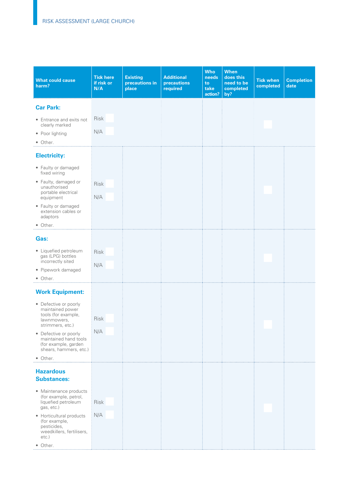| <b>What could cause</b><br>harm?                                                                                                                                                                                            | <b>Tick here</b><br>if risk or<br>N/A | <b>Existing</b><br>precautions in<br>place | <b>Additional</b><br>precautions<br>required | <b>Who</b><br>needs<br>to<br>take<br>action? | <b>When</b><br>does this<br>need to be<br>completed<br>by? | <b>Tick when</b><br>completed | <b>Completion</b><br>date |
|-----------------------------------------------------------------------------------------------------------------------------------------------------------------------------------------------------------------------------|---------------------------------------|--------------------------------------------|----------------------------------------------|----------------------------------------------|------------------------------------------------------------|-------------------------------|---------------------------|
| <b>Car Park:</b>                                                                                                                                                                                                            |                                       |                                            |                                              |                                              |                                                            |                               |                           |
| • Entrance and exits not<br>clearly marked<br>• Poor lighting<br>• Other.                                                                                                                                                   | Risk<br>N/A                           |                                            |                                              |                                              |                                                            |                               |                           |
| <b>Electricity:</b>                                                                                                                                                                                                         |                                       |                                            |                                              |                                              |                                                            |                               |                           |
| • Faulty or damaged<br>fixed wiring<br>• Faulty, damaged or<br>unauthorised<br>portable electrical<br>equipment<br>• Faulty or damaged<br>extension cables or<br>adaptors<br>• Other.                                       | Risk<br>N/A                           |                                            |                                              |                                              |                                                            |                               |                           |
| Gas:                                                                                                                                                                                                                        |                                       |                                            |                                              |                                              |                                                            |                               |                           |
| • Liquefied petroleum<br>gas (LPG) bottles<br>incorrectly sited<br>· Pipework damaged<br>• Other.                                                                                                                           | <b>Risk</b><br>N/A                    |                                            |                                              |                                              |                                                            |                               |                           |
| <b>Work Equipment:</b>                                                                                                                                                                                                      |                                       |                                            |                                              |                                              |                                                            |                               |                           |
| • Defective or poorly<br>maintained power<br>tools (for example,<br>lawnmowers,<br>strimmers, etc.)<br>• Defective or poorly<br>maintained hand tools<br>(for example, garden<br>shears, hammers, etc.)<br>• Other.         | Risk<br>N/A                           |                                            |                                              |                                              |                                                            |                               |                           |
| <b>Hazardous</b>                                                                                                                                                                                                            |                                       |                                            |                                              |                                              |                                                            |                               |                           |
| <b>Substances:</b><br>• Maintenance products<br>(for example, petrol,<br>liquefied petroleum<br>gas, etc.)<br>• Horticultural products<br>(for example,<br>pesticides,<br>weedkillers, fertilisers,<br>$etc.$ )<br>• Other. | Risk<br>N/A                           |                                            |                                              |                                              |                                                            |                               |                           |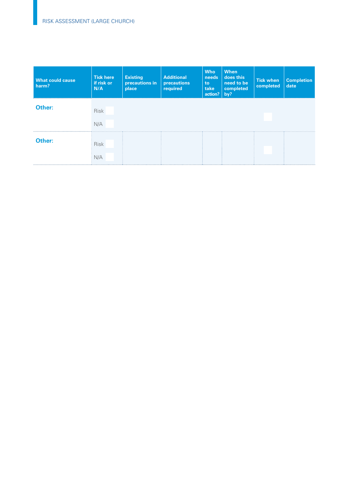| <b>What could cause</b><br>harm? | <b>Tick here</b><br>if risk or<br>N/A | <b>Existing</b><br>precautions in<br>place | <b>Additional</b><br>precautions<br>required | <b>Who</b><br>needs<br>to<br>take<br>action? | <b>When</b><br>does this<br>need to be<br>completed<br>by? | <b>Tick when</b><br>completed | <b>Completion</b><br>date |
|----------------------------------|---------------------------------------|--------------------------------------------|----------------------------------------------|----------------------------------------------|------------------------------------------------------------|-------------------------------|---------------------------|
| Other:                           | <b>Risk</b><br>N/A                    |                                            |                                              |                                              |                                                            |                               |                           |
| Other:                           | <b>Risk</b><br>N/A                    |                                            |                                              |                                              |                                                            |                               |                           |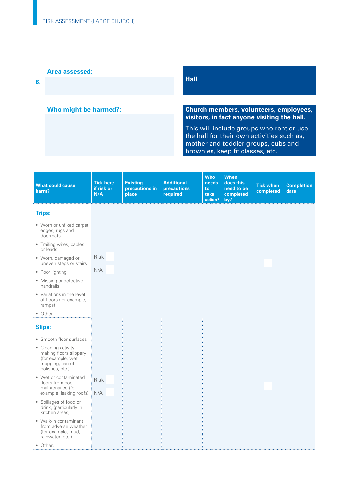**6.** 

### **Who might be harmed?:**

### **Hall**

#### **Church members, volunteers, employees, visitors, in fact anyone visiting the hall.**

This will include groups who rent or use the hall for their own activities such as, mother and toddler groups, cubs and brownies, keep fit classes, etc.

| <b>What could cause</b><br>harm?                                                                         | <b>Tick here</b><br>if risk or<br>N/A | <b>Existing</b><br>precautions in<br>place | <b>Additional</b><br>precautions<br>required | <b>Who</b><br>needs<br>to<br>take<br>action? | <b>When</b><br>does this<br>need to be<br>completed<br>by? | <b>Tick when</b><br>completed | <b>Completion</b><br>date |
|----------------------------------------------------------------------------------------------------------|---------------------------------------|--------------------------------------------|----------------------------------------------|----------------------------------------------|------------------------------------------------------------|-------------------------------|---------------------------|
| <b>Trips:</b>                                                                                            |                                       |                                            |                                              |                                              |                                                            |                               |                           |
| • Worn or unfixed carpet<br>edges, rugs and<br>doormats                                                  |                                       |                                            |                                              |                                              |                                                            |                               |                           |
| • Trailing wires, cables<br>or leads                                                                     |                                       |                                            |                                              |                                              |                                                            |                               |                           |
| • Worn, damaged or<br>uneven steps or stairs                                                             | Risk                                  |                                            |                                              |                                              |                                                            |                               |                           |
| • Poor lighting                                                                                          | N/A                                   |                                            |                                              |                                              |                                                            |                               |                           |
| • Missing or defective<br>handrails                                                                      |                                       |                                            |                                              |                                              |                                                            |                               |                           |
| • Variations in the level<br>of floors (for example,<br>ramps)                                           |                                       |                                            |                                              |                                              |                                                            |                               |                           |
| • Other.                                                                                                 |                                       |                                            |                                              |                                              |                                                            |                               |                           |
| <b>Slips:</b>                                                                                            |                                       |                                            |                                              |                                              |                                                            |                               |                           |
| • Smooth floor surfaces                                                                                  |                                       |                                            |                                              |                                              |                                                            |                               |                           |
| • Cleaning activity<br>making floors slippery<br>(for example, wet<br>mopping, use of<br>polishes, etc.) |                                       |                                            |                                              |                                              |                                                            |                               |                           |
| • Wet or contaminated<br>floors from poor<br>maintenance (for<br>example, leaking roofs)                 | <b>Risk</b>                           |                                            |                                              |                                              |                                                            |                               |                           |
|                                                                                                          | N/A                                   |                                            |                                              |                                              |                                                            |                               |                           |
| • Spillages of food or<br>drink, (particularly in<br>kitchen areas)                                      |                                       |                                            |                                              |                                              |                                                            |                               |                           |
| • Walk-in contaminant<br>from adverse weather<br>(for example, mud,<br>rainwater, etc.)                  |                                       |                                            |                                              |                                              |                                                            |                               |                           |
| • Other.                                                                                                 |                                       |                                            |                                              |                                              |                                                            |                               |                           |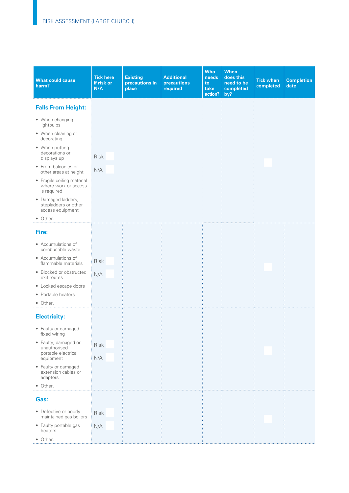| <b>What could cause</b><br>harm?                                  | <b>Tick here</b><br>if risk or<br>N/A | <b>Existing</b><br>precautions in<br>place | <b>Additional</b><br>precautions<br>required | <b>Who</b><br>needs<br>to<br>take<br>action? | <b>When</b><br>does this<br>need to be<br>completed<br>by? | <b>Tick when</b><br>completed | <b>Completion</b><br>date |
|-------------------------------------------------------------------|---------------------------------------|--------------------------------------------|----------------------------------------------|----------------------------------------------|------------------------------------------------------------|-------------------------------|---------------------------|
| <b>Falls From Height:</b>                                         |                                       |                                            |                                              |                                              |                                                            |                               |                           |
| • When changing<br>lightbulbs                                     |                                       |                                            |                                              |                                              |                                                            |                               |                           |
| • When cleaning or<br>decorating                                  |                                       |                                            |                                              |                                              |                                                            |                               |                           |
| • When putting<br>decorations or<br>displays up                   | Risk                                  |                                            |                                              |                                              |                                                            |                               |                           |
| • From balconies or<br>other areas at height                      | N/A                                   |                                            |                                              |                                              |                                                            |                               |                           |
| • Fragile ceiling material<br>where work or access<br>is required |                                       |                                            |                                              |                                              |                                                            |                               |                           |
| · Damaged ladders,<br>stepladders or other<br>access equipment    |                                       |                                            |                                              |                                              |                                                            |                               |                           |
| • Other.                                                          |                                       |                                            |                                              |                                              |                                                            |                               |                           |
| Fire:                                                             |                                       |                                            |                                              |                                              |                                                            |                               |                           |
| • Accumulations of<br>combustible waste                           |                                       |                                            |                                              |                                              |                                                            |                               |                           |
| • Accumulations of<br>flammable materials                         | <b>Risk</b>                           |                                            |                                              |                                              |                                                            |                               |                           |
| • Blocked or obstructed<br>exit routes                            | N/A                                   |                                            |                                              |                                              |                                                            |                               |                           |
| • Locked escape doors                                             |                                       |                                            |                                              |                                              |                                                            |                               |                           |
| • Portable heaters                                                |                                       |                                            |                                              |                                              |                                                            |                               |                           |
| • Other.                                                          |                                       |                                            |                                              |                                              |                                                            |                               |                           |
| <b>Electricity:</b>                                               |                                       |                                            |                                              |                                              |                                                            |                               |                           |
| • Faulty or damaged<br>fixed wiring                               |                                       |                                            |                                              |                                              |                                                            |                               |                           |
| · Faulty, damaged or<br>unauthorised                              | Risk                                  |                                            |                                              |                                              |                                                            |                               |                           |
| portable electrical<br>equipment                                  | N/A                                   |                                            |                                              |                                              |                                                            |                               |                           |
| • Faulty or damaged<br>extension cables or<br>adaptors            |                                       |                                            |                                              |                                              |                                                            |                               |                           |
| • Other.                                                          |                                       |                                            |                                              |                                              |                                                            |                               |                           |
| Gas:                                                              |                                       |                                            |                                              |                                              |                                                            |                               |                           |
| • Defective or poorly<br>maintained gas boilers                   | Risk                                  |                                            |                                              |                                              |                                                            |                               |                           |
| • Faulty portable gas<br>heaters                                  | N/A                                   |                                            |                                              |                                              |                                                            |                               |                           |
| • Other.                                                          |                                       |                                            |                                              |                                              |                                                            |                               |                           |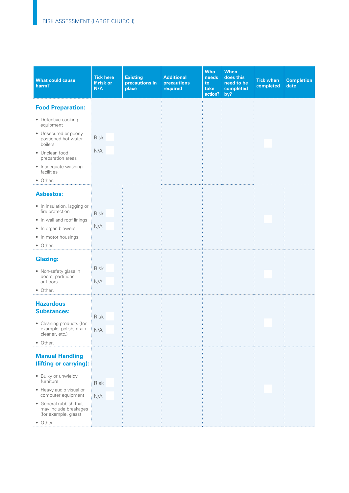| <b>What could cause</b><br>harm?                                        | <b>Tick here</b><br>if risk or<br>N/A | <b>Existing</b><br>precautions in<br>place | <b>Additional</b><br>precautions<br>required | <b>Who</b><br>needs<br>to<br>take<br>action? | <b>When</b><br>does this<br>need to be<br>completed<br>by? | <b>Tick when</b><br>completed | <b>Completion</b><br>date |
|-------------------------------------------------------------------------|---------------------------------------|--------------------------------------------|----------------------------------------------|----------------------------------------------|------------------------------------------------------------|-------------------------------|---------------------------|
| <b>Food Preparation:</b>                                                |                                       |                                            |                                              |                                              |                                                            |                               |                           |
| • Defective cooking<br>equipment                                        |                                       |                                            |                                              |                                              |                                                            |                               |                           |
| • Unsecured or poorly<br>postioned hot water<br>boilers                 | <b>Risk</b>                           |                                            |                                              |                                              |                                                            |                               |                           |
| • Unclean food<br>preparation areas                                     | N/A                                   |                                            |                                              |                                              |                                                            |                               |                           |
| • Inadequate washing<br>facilities                                      |                                       |                                            |                                              |                                              |                                                            |                               |                           |
| • Other.                                                                |                                       |                                            |                                              |                                              |                                                            |                               |                           |
| <b>Asbestos:</b>                                                        |                                       |                                            |                                              |                                              |                                                            |                               |                           |
| • In insulation, lagging or<br>fire protection                          | <b>Risk</b>                           |                                            |                                              |                                              |                                                            |                               |                           |
| • In wall and roof linings                                              | N/A                                   |                                            |                                              |                                              |                                                            |                               |                           |
| • In organ blowers                                                      |                                       |                                            |                                              |                                              |                                                            |                               |                           |
| • In motor housings<br>• Other.                                         |                                       |                                            |                                              |                                              |                                                            |                               |                           |
|                                                                         |                                       |                                            |                                              |                                              |                                                            |                               |                           |
| <b>Glazing:</b>                                                         |                                       |                                            |                                              |                                              |                                                            |                               |                           |
| • Non-safety glass in                                                   | <b>Risk</b>                           |                                            |                                              |                                              |                                                            |                               |                           |
| doors, partitions<br>or floors                                          | N/A                                   |                                            |                                              |                                              |                                                            |                               |                           |
| • Other.                                                                |                                       |                                            |                                              |                                              |                                                            |                               |                           |
| <b>Hazardous</b>                                                        |                                       |                                            |                                              |                                              |                                                            |                               |                           |
| <b>Substances:</b>                                                      |                                       |                                            |                                              |                                              |                                                            |                               |                           |
|                                                                         | <b>Risk</b>                           |                                            |                                              |                                              |                                                            |                               |                           |
| • Cleaning products (for<br>example, polish, drain                      | N/A                                   |                                            |                                              |                                              |                                                            |                               |                           |
| cleaner, etc.)<br>• Other.                                              |                                       |                                            |                                              |                                              |                                                            |                               |                           |
|                                                                         |                                       |                                            |                                              |                                              |                                                            |                               |                           |
| <b>Manual Handling</b><br>(lifting or carrying):                        |                                       |                                            |                                              |                                              |                                                            |                               |                           |
| · Bulky or unwieldy<br>furniture                                        | Risk                                  |                                            |                                              |                                              |                                                            |                               |                           |
| • Heavy audio visual or<br>computer equipment                           | N/A                                   |                                            |                                              |                                              |                                                            |                               |                           |
| • General rubbish that<br>may include breakages<br>(for example, glass) |                                       |                                            |                                              |                                              |                                                            |                               |                           |
| • Other.                                                                |                                       |                                            |                                              |                                              |                                                            |                               |                           |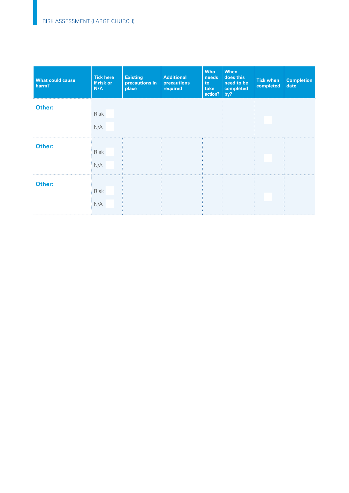| <b>What could cause</b><br>harm? | <b>Tick here</b><br>if risk or<br>N/A | <b>Existing</b><br>precautions in<br>place | <b>Additional</b><br>precautions<br>required | <b>Who</b><br>needs<br>to<br>take<br>actual | When<br>does this<br>need to be<br>completed<br>by? | <b>Tick when</b><br>completed | <b>Completion</b><br>date |
|----------------------------------|---------------------------------------|--------------------------------------------|----------------------------------------------|---------------------------------------------|-----------------------------------------------------|-------------------------------|---------------------------|
| Other:                           | Risk<br>N/A                           |                                            |                                              |                                             |                                                     |                               |                           |
| Other:                           | Risk<br>N/A                           |                                            |                                              |                                             |                                                     |                               |                           |
| Other:                           | Risk<br>N/A                           |                                            |                                              |                                             |                                                     |                               |                           |